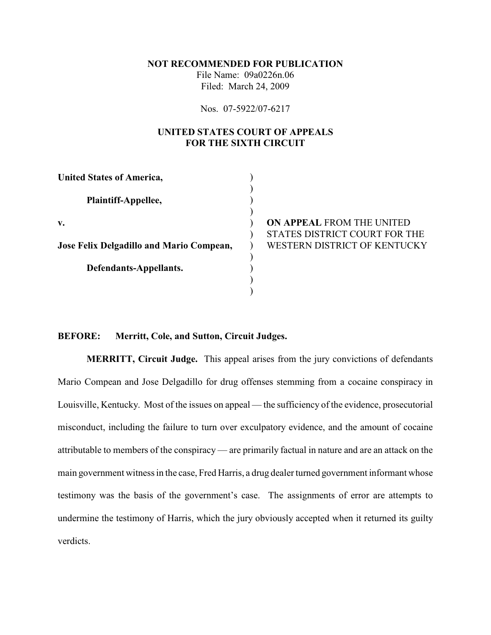**NOT RECOMMENDED FOR PUBLICATION**

File Name: 09a0226n.06 Filed: March 24, 2009

Nos. 07-5922/07-6217

# **UNITED STATES COURT OF APPEALS FOR THE SIXTH CIRCUIT**

| <b>United States of America,</b>         |                               |
|------------------------------------------|-------------------------------|
| Plaintiff-Appellee,                      |                               |
| v.                                       | ON APPEAL FROM THE UNITED     |
|                                          | STATES DISTRICT COURT FOR THE |
| Jose Felix Delgadillo and Mario Compean, | WESTERN DISTRICT OF KENTUCKY  |
|                                          |                               |
| Defendants-Appellants.                   |                               |
|                                          |                               |
|                                          |                               |

### **BEFORE: Merritt, Cole, and Sutton, Circuit Judges.**

**MERRITT, Circuit Judge.** This appeal arises from the jury convictions of defendants Mario Compean and Jose Delgadillo for drug offenses stemming from a cocaine conspiracy in Louisville, Kentucky. Most of the issues on appeal — the sufficiency of the evidence, prosecutorial misconduct, including the failure to turn over exculpatory evidence, and the amount of cocaine attributable to members of the conspiracy — are primarily factual in nature and are an attack on the main government witness in the case, Fred Harris, a drug dealer turned government informant whose testimony was the basis of the government's case. The assignments of error are attempts to undermine the testimony of Harris, which the jury obviously accepted when it returned its guilty verdicts.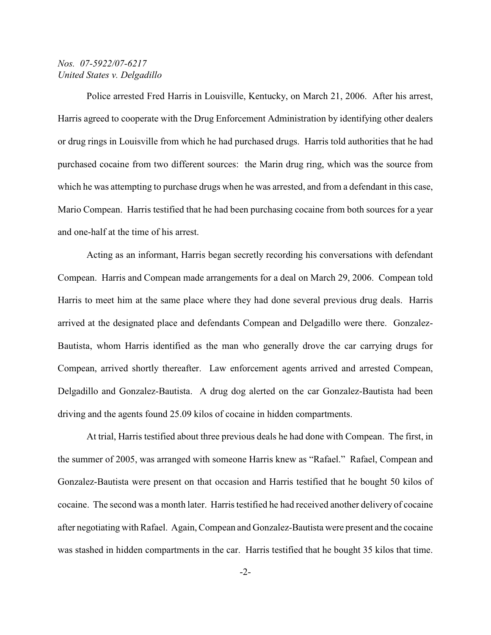Police arrested Fred Harris in Louisville, Kentucky, on March 21, 2006. After his arrest, Harris agreed to cooperate with the Drug Enforcement Administration by identifying other dealers or drug rings in Louisville from which he had purchased drugs. Harris told authorities that he had purchased cocaine from two different sources: the Marin drug ring, which was the source from which he was attempting to purchase drugs when he was arrested, and from a defendant in this case, Mario Compean. Harris testified that he had been purchasing cocaine from both sources for a year and one-half at the time of his arrest.

Acting as an informant, Harris began secretly recording his conversations with defendant Compean. Harris and Compean made arrangements for a deal on March 29, 2006. Compean told Harris to meet him at the same place where they had done several previous drug deals. Harris arrived at the designated place and defendants Compean and Delgadillo were there. Gonzalez-Bautista, whom Harris identified as the man who generally drove the car carrying drugs for Compean, arrived shortly thereafter. Law enforcement agents arrived and arrested Compean, Delgadillo and Gonzalez-Bautista. A drug dog alerted on the car Gonzalez-Bautista had been driving and the agents found 25.09 kilos of cocaine in hidden compartments.

At trial, Harris testified about three previous deals he had done with Compean. The first, in the summer of 2005, was arranged with someone Harris knew as "Rafael." Rafael, Compean and Gonzalez-Bautista were present on that occasion and Harris testified that he bought 50 kilos of cocaine. The second was a month later. Harris testified he had received another delivery of cocaine after negotiating with Rafael. Again, Compean and Gonzalez-Bautista were present and the cocaine was stashed in hidden compartments in the car. Harris testified that he bought 35 kilos that time.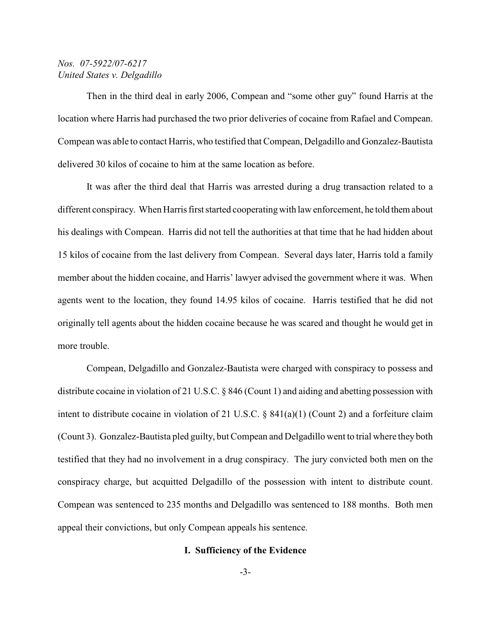Then in the third deal in early 2006, Compean and "some other guy" found Harris at the location where Harris had purchased the two prior deliveries of cocaine from Rafael and Compean. Compean was able to contact Harris, who testified that Compean, Delgadillo and Gonzalez-Bautista delivered 30 kilos of cocaine to him at the same location as before.

It was after the third deal that Harris was arrested during a drug transaction related to a different conspiracy. When Harris first started cooperating with law enforcement, he told them about his dealings with Compean. Harris did not tell the authorities at that time that he had hidden about 15 kilos of cocaine from the last delivery from Compean. Several days later, Harris told a family member about the hidden cocaine, and Harris' lawyer advised the government where it was. When agents went to the location, they found 14.95 kilos of cocaine. Harris testified that he did not originally tell agents about the hidden cocaine because he was scared and thought he would get in more trouble.

Compean, Delgadillo and Gonzalez-Bautista were charged with conspiracy to possess and distribute cocaine in violation of 21 U.S.C. § 846 (Count 1) and aiding and abetting possession with intent to distribute cocaine in violation of 21 U.S.C. § 841(a)(1) (Count 2) and a forfeiture claim (Count 3). Gonzalez-Bautista pled guilty, but Compean and Delgadillo went to trial where they both testified that they had no involvement in a drug conspiracy. The jury convicted both men on the conspiracy charge, but acquitted Delgadillo of the possession with intent to distribute count. Compean was sentenced to 235 months and Delgadillo was sentenced to 188 months. Both men appeal their convictions, but only Compean appeals his sentence.

#### **I. Sufficiency of the Evidence**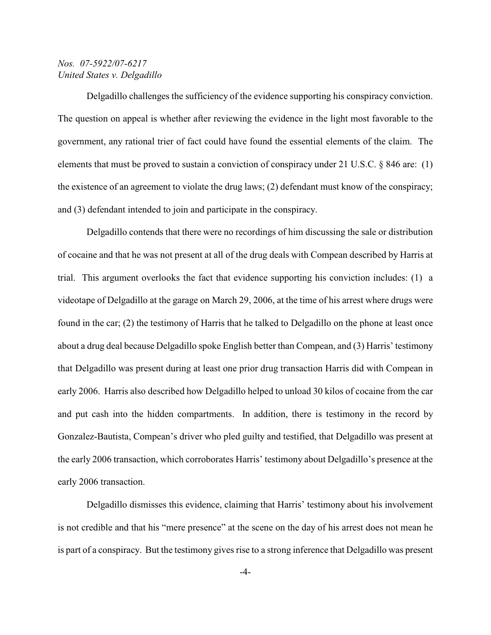Delgadillo challenges the sufficiency of the evidence supporting his conspiracy conviction. The question on appeal is whether after reviewing the evidence in the light most favorable to the government, any rational trier of fact could have found the essential elements of the claim. The elements that must be proved to sustain a conviction of conspiracy under 21 U.S.C. § 846 are: (1) the existence of an agreement to violate the drug laws; (2) defendant must know of the conspiracy; and (3) defendant intended to join and participate in the conspiracy.

Delgadillo contends that there were no recordings of him discussing the sale or distribution of cocaine and that he was not present at all of the drug deals with Compean described by Harris at trial. This argument overlooks the fact that evidence supporting his conviction includes: (1) a videotape of Delgadillo at the garage on March 29, 2006, at the time of his arrest where drugs were found in the car; (2) the testimony of Harris that he talked to Delgadillo on the phone at least once about a drug deal because Delgadillo spoke English better than Compean, and (3) Harris' testimony that Delgadillo was present during at least one prior drug transaction Harris did with Compean in early 2006. Harris also described how Delgadillo helped to unload 30 kilos of cocaine from the car and put cash into the hidden compartments. In addition, there is testimony in the record by Gonzalez-Bautista, Compean's driver who pled guilty and testified, that Delgadillo was present at the early 2006 transaction, which corroborates Harris' testimony about Delgadillo's presence at the early 2006 transaction.

Delgadillo dismisses this evidence, claiming that Harris' testimony about his involvement is not credible and that his "mere presence" at the scene on the day of his arrest does not mean he is part of a conspiracy. But the testimony gives rise to a strong inference that Delgadillo was present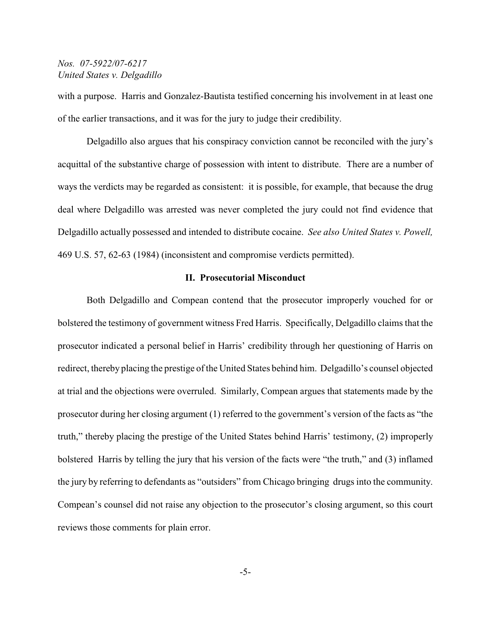with a purpose. Harris and Gonzalez-Bautista testified concerning his involvement in at least one of the earlier transactions, and it was for the jury to judge their credibility.

Delgadillo also argues that his conspiracy conviction cannot be reconciled with the jury's acquittal of the substantive charge of possession with intent to distribute. There are a number of ways the verdicts may be regarded as consistent: it is possible, for example, that because the drug deal where Delgadillo was arrested was never completed the jury could not find evidence that Delgadillo actually possessed and intended to distribute cocaine. *See also United States v. Powell,* 469 U.S. 57, 62-63 (1984) (inconsistent and compromise verdicts permitted).

### **II. Prosecutorial Misconduct**

Both Delgadillo and Compean contend that the prosecutor improperly vouched for or bolstered the testimony of government witness Fred Harris. Specifically, Delgadillo claims that the prosecutor indicated a personal belief in Harris' credibility through her questioning of Harris on redirect, thereby placing the prestige of the United States behind him. Delgadillo's counsel objected at trial and the objections were overruled. Similarly, Compean argues that statements made by the prosecutor during her closing argument (1) referred to the government's version of the facts as "the truth," thereby placing the prestige of the United States behind Harris' testimony, (2) improperly bolstered Harris by telling the jury that his version of the facts were "the truth," and (3) inflamed the jury by referring to defendants as "outsiders" from Chicago bringing drugs into the community. Compean's counsel did not raise any objection to the prosecutor's closing argument, so this court reviews those comments for plain error.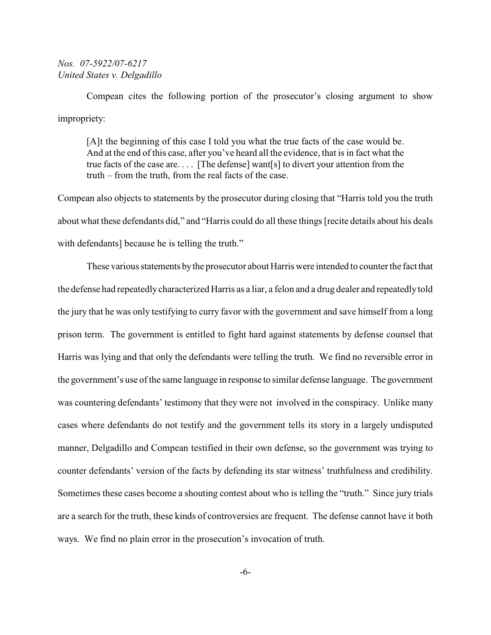Compean cites the following portion of the prosecutor's closing argument to show impropriety:

[A]t the beginning of this case I told you what the true facts of the case would be. And at the end of this case, after you've heard all the evidence, that is in fact what the true facts of the case are. . . . [The defense] want[s] to divert your attention from the truth – from the truth, from the real facts of the case.

Compean also objects to statements by the prosecutor during closing that "Harris told you the truth about what these defendants did," and "Harris could do all these things [recite details about his deals with defendants] because he is telling the truth."

These various statements by the prosecutor about Harris were intended to counter the fact that the defense had repeatedly characterized Harris as a liar, a felon and a drug dealer and repeatedly told the jury that he was only testifying to curry favor with the government and save himself from a long prison term. The government is entitled to fight hard against statements by defense counsel that Harris was lying and that only the defendants were telling the truth. We find no reversible error in the government's use of the same language in response to similar defense language. The government was countering defendants' testimony that they were not involved in the conspiracy. Unlike many cases where defendants do not testify and the government tells its story in a largely undisputed manner, Delgadillo and Compean testified in their own defense, so the government was trying to counter defendants' version of the facts by defending its star witness' truthfulness and credibility. Sometimes these cases become a shouting contest about who is telling the "truth." Since jury trials are a search for the truth, these kinds of controversies are frequent. The defense cannot have it both ways. We find no plain error in the prosecution's invocation of truth.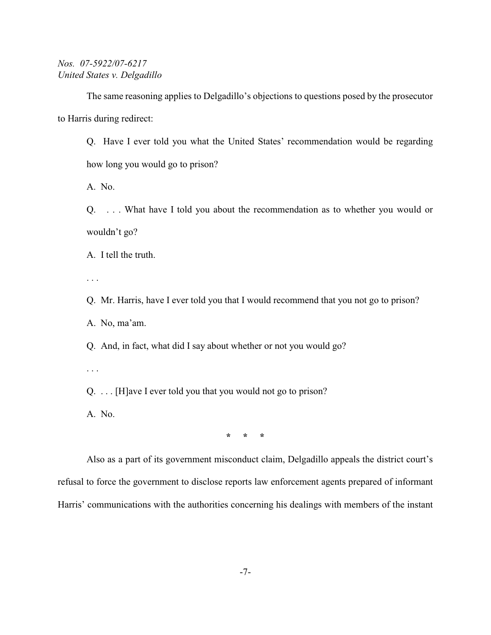The same reasoning applies to Delgadillo's objections to questions posed by the prosecutor to Harris during redirect:

Q. Have I ever told you what the United States' recommendation would be regarding how long you would go to prison?

A. No.

Q. . . . What have I told you about the recommendation as to whether you would or wouldn't go?

A. I tell the truth.

. . .

Q. Mr. Harris, have I ever told you that I would recommend that you not go to prison?

A. No, ma'am.

Q. And, in fact, what did I say about whether or not you would go?

. . .

Q. . . . [H]ave I ever told you that you would not go to prison?

A. No.

**\* \* \***

Also as a part of its government misconduct claim, Delgadillo appeals the district court's refusal to force the government to disclose reports law enforcement agents prepared of informant Harris' communications with the authorities concerning his dealings with members of the instant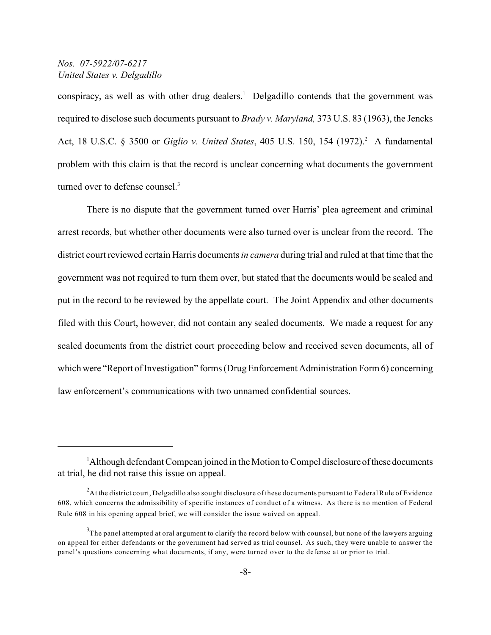conspiracy, as well as with other drug dealers.<sup>1</sup> Delgadillo contends that the government was required to disclose such documents pursuant to *Brady v. Maryland,* 373 U.S. 83 (1963), the Jencks Act, 18 U.S.C. § 3500 or *Giglio v. United States*, 405 U.S. 150, 154 (1972).<sup>2</sup> A fundamental problem with this claim is that the record is unclear concerning what documents the government turned over to defense counsel.<sup>3</sup>

There is no dispute that the government turned over Harris' plea agreement and criminal arrest records, but whether other documents were also turned over is unclear from the record. The district court reviewed certain Harris documents*in camera* during trial and ruled at that time that the government was not required to turn them over, but stated that the documents would be sealed and put in the record to be reviewed by the appellate court. The Joint Appendix and other documents filed with this Court, however, did not contain any sealed documents. We made a request for any sealed documents from the district court proceeding below and received seven documents, all of which were "Report of Investigation" forms (Drug Enforcement Administration Form 6) concerning law enforcement's communications with two unnamed confidential sources.

 ${}^{1}$ Although defendant Compean joined in the Motion to Compel disclosure of these documents at trial, he did not raise this issue on appeal.

<sup>&</sup>lt;sup>2</sup>At the district court, Delgadillo also sought disclosure of these documents pursuant to Federal Rule of Evidence 608, which concerns the admissibility of specific instances of conduct of a witness. As there is no mention of Federal Rule 608 in his opening appeal brief, we will consider the issue waived on appeal.

 $^3$ The panel attempted at oral argument to clarify the record below with counsel, but none of the lawyers arguing on appeal for either defendants or the government had served as trial counsel. As such, they were unable to answer the panel's questions concerning what documents, if any, were turned over to the defense at or prior to trial.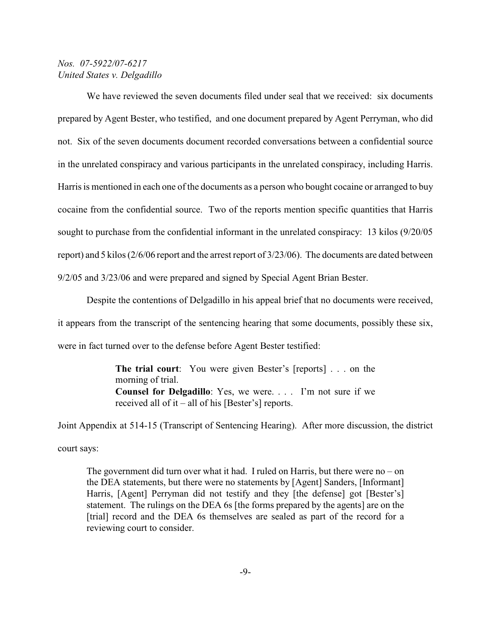We have reviewed the seven documents filed under seal that we received: six documents prepared by Agent Bester, who testified, and one document prepared by Agent Perryman, who did not. Six of the seven documents document recorded conversations between a confidential source in the unrelated conspiracy and various participants in the unrelated conspiracy, including Harris. Harris is mentioned in each one of the documents as a person who bought cocaine or arranged to buy cocaine from the confidential source. Two of the reports mention specific quantities that Harris sought to purchase from the confidential informant in the unrelated conspiracy: 13 kilos (9/20/05 report) and 5 kilos (2/6/06 report and the arrest report of 3/23/06). The documents are dated between 9/2/05 and 3/23/06 and were prepared and signed by Special Agent Brian Bester.

Despite the contentions of Delgadillo in his appeal brief that no documents were received, it appears from the transcript of the sentencing hearing that some documents, possibly these six, were in fact turned over to the defense before Agent Bester testified:

> **The trial court**: You were given Bester's [reports] . . . on the morning of trial. **Counsel for Delgadillo**: Yes, we were. . . . I'm not sure if we received all of it – all of his [Bester's] reports.

Joint Appendix at 514-15 (Transcript of Sentencing Hearing). After more discussion, the district court says:

The government did turn over what it had. I ruled on Harris, but there were  $no - on$ the DEA statements, but there were no statements by [Agent] Sanders, [Informant] Harris, [Agent] Perryman did not testify and they [the defense] got [Bester's] statement. The rulings on the DEA 6s [the forms prepared by the agents] are on the [trial] record and the DEA 6s themselves are sealed as part of the record for a reviewing court to consider.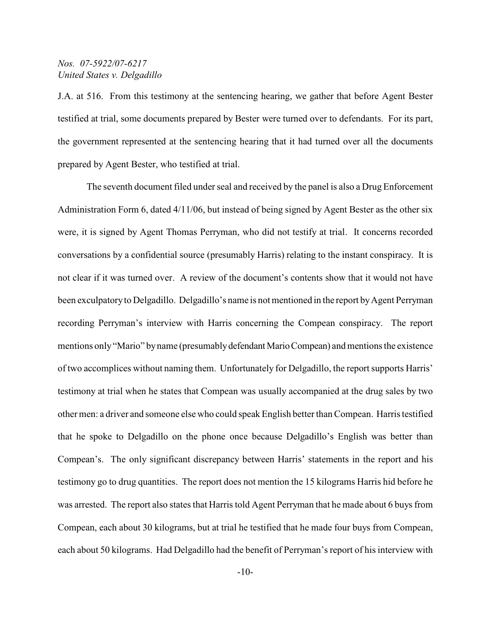J.A. at 516. From this testimony at the sentencing hearing, we gather that before Agent Bester testified at trial, some documents prepared by Bester were turned over to defendants. For its part, the government represented at the sentencing hearing that it had turned over all the documents prepared by Agent Bester, who testified at trial.

The seventh document filed under seal and received by the panel is also a Drug Enforcement Administration Form 6, dated 4/11/06, but instead of being signed by Agent Bester as the other six were, it is signed by Agent Thomas Perryman, who did not testify at trial. It concerns recorded conversations by a confidential source (presumably Harris) relating to the instant conspiracy. It is not clear if it was turned over. A review of the document's contents show that it would not have been exculpatory to Delgadillo. Delgadillo's name is not mentioned in the report byAgent Perryman recording Perryman's interview with Harris concerning the Compean conspiracy. The report mentions only "Mario" by name (presumably defendant Mario Compean) and mentions the existence of two accomplices without naming them. Unfortunately for Delgadillo, the report supports Harris' testimony at trial when he states that Compean was usually accompanied at the drug sales by two other men: a driver and someone else who could speak English better than Compean. Harris testified that he spoke to Delgadillo on the phone once because Delgadillo's English was better than Compean's. The only significant discrepancy between Harris' statements in the report and his testimony go to drug quantities. The report does not mention the 15 kilograms Harris hid before he was arrested. The report also states that Harris told Agent Perryman that he made about 6 buys from Compean, each about 30 kilograms, but at trial he testified that he made four buys from Compean, each about 50 kilograms. Had Delgadillo had the benefit of Perryman's report of his interview with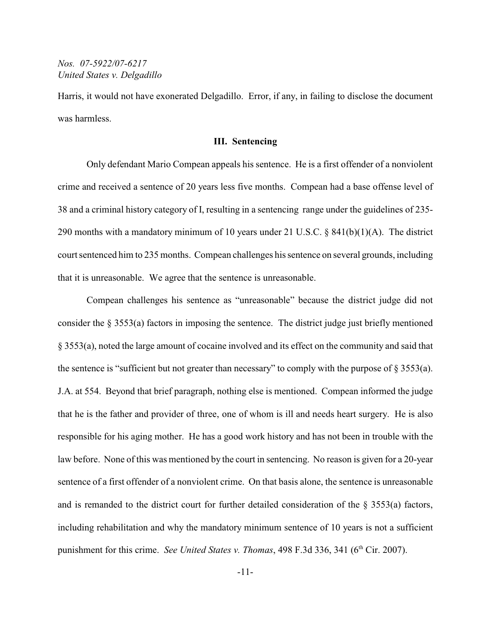Harris, it would not have exonerated Delgadillo. Error, if any, in failing to disclose the document was harmless.

#### **III. Sentencing**

Only defendant Mario Compean appeals his sentence. He is a first offender of a nonviolent crime and received a sentence of 20 years less five months. Compean had a base offense level of 38 and a criminal history category of I, resulting in a sentencing range under the guidelines of 235- 290 months with a mandatory minimum of 10 years under 21 U.S.C. § 841(b)(1)(A). The district court sentenced him to 235 months. Compean challenges his sentence on several grounds, including that it is unreasonable. We agree that the sentence is unreasonable.

Compean challenges his sentence as "unreasonable" because the district judge did not consider the § 3553(a) factors in imposing the sentence. The district judge just briefly mentioned § 3553(a), noted the large amount of cocaine involved and its effect on the community and said that the sentence is "sufficient but not greater than necessary" to comply with the purpose of § 3553(a). J.A. at 554. Beyond that brief paragraph, nothing else is mentioned. Compean informed the judge that he is the father and provider of three, one of whom is ill and needs heart surgery. He is also responsible for his aging mother. He has a good work history and has not been in trouble with the law before. None of this was mentioned by the court in sentencing. No reason is given for a 20-year sentence of a first offender of a nonviolent crime. On that basis alone, the sentence is unreasonable and is remanded to the district court for further detailed consideration of the § 3553(a) factors, including rehabilitation and why the mandatory minimum sentence of 10 years is not a sufficient punishment for this crime. *See United States v. Thomas*, 498 F.3d 336, 341 (6<sup>th</sup> Cir. 2007).